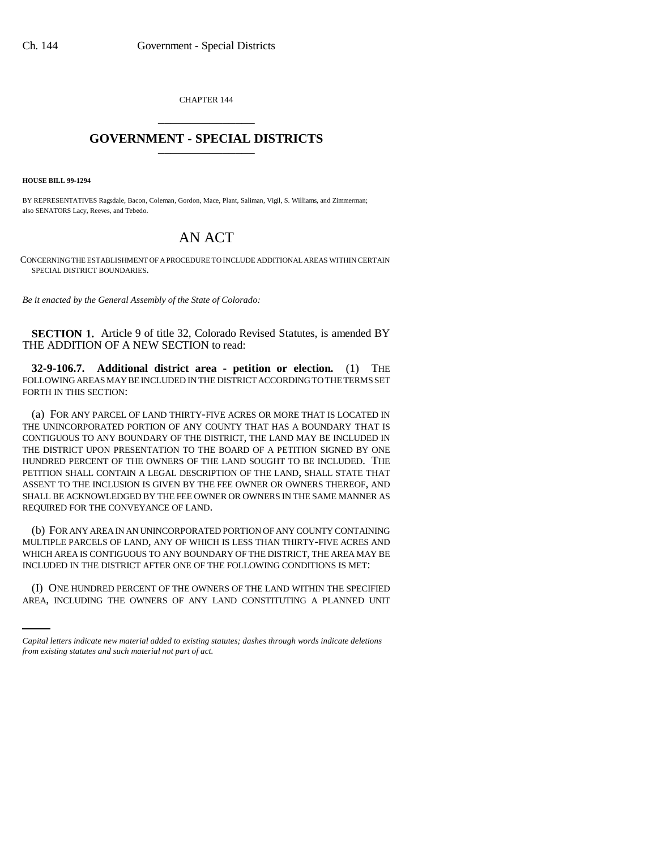CHAPTER 144 \_\_\_\_\_\_\_\_\_\_\_\_\_\_\_

## **GOVERNMENT - SPECIAL DISTRICTS** \_\_\_\_\_\_\_\_\_\_\_\_\_\_\_

**HOUSE BILL 99-1294** 

BY REPRESENTATIVES Ragsdale, Bacon, Coleman, Gordon, Mace, Plant, Saliman, Vigil, S. Williams, and Zimmerman; also SENATORS Lacy, Reeves, and Tebedo.

## AN ACT

CONCERNING THE ESTABLISHMENT OF A PROCEDURE TO INCLUDE ADDITIONAL AREAS WITHIN CERTAIN SPECIAL DISTRICT BOUNDARIES.

*Be it enacted by the General Assembly of the State of Colorado:*

**SECTION 1.** Article 9 of title 32, Colorado Revised Statutes, is amended BY THE ADDITION OF A NEW SECTION to read:

**32-9-106.7. Additional district area - petition or election.** (1) THE FOLLOWING AREAS MAY BE INCLUDED IN THE DISTRICT ACCORDING TO THE TERMS SET FORTH IN THIS SECTION:

(a) FOR ANY PARCEL OF LAND THIRTY-FIVE ACRES OR MORE THAT IS LOCATED IN THE UNINCORPORATED PORTION OF ANY COUNTY THAT HAS A BOUNDARY THAT IS CONTIGUOUS TO ANY BOUNDARY OF THE DISTRICT, THE LAND MAY BE INCLUDED IN THE DISTRICT UPON PRESENTATION TO THE BOARD OF A PETITION SIGNED BY ONE HUNDRED PERCENT OF THE OWNERS OF THE LAND SOUGHT TO BE INCLUDED. THE PETITION SHALL CONTAIN A LEGAL DESCRIPTION OF THE LAND, SHALL STATE THAT ASSENT TO THE INCLUSION IS GIVEN BY THE FEE OWNER OR OWNERS THEREOF, AND SHALL BE ACKNOWLEDGED BY THE FEE OWNER OR OWNERS IN THE SAME MANNER AS REQUIRED FOR THE CONVEYANCE OF LAND.

INCLUDED IN THE DISTRICT AFTER ONE OF THE FOLLOWING CONDITIONS IS MET: (b) FOR ANY AREA IN AN UNINCORPORATED PORTION OF ANY COUNTY CONTAINING MULTIPLE PARCELS OF LAND, ANY OF WHICH IS LESS THAN THIRTY-FIVE ACRES AND WHICH AREA IS CONTIGUOUS TO ANY BOUNDARY OF THE DISTRICT, THE AREA MAY BE

(I) ONE HUNDRED PERCENT OF THE OWNERS OF THE LAND WITHIN THE SPECIFIED AREA, INCLUDING THE OWNERS OF ANY LAND CONSTITUTING A PLANNED UNIT

*Capital letters indicate new material added to existing statutes; dashes through words indicate deletions from existing statutes and such material not part of act.*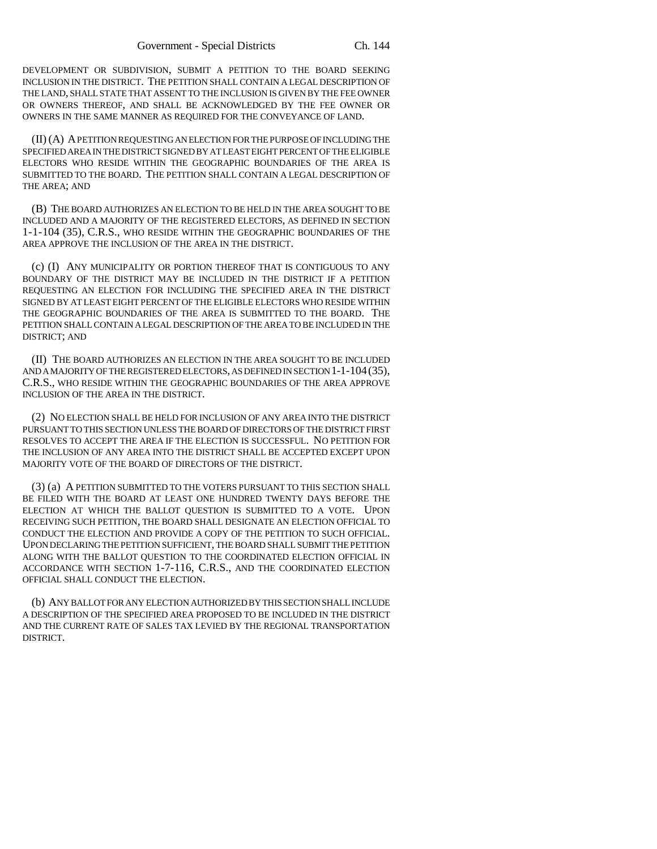DEVELOPMENT OR SUBDIVISION, SUBMIT A PETITION TO THE BOARD SEEKING INCLUSION IN THE DISTRICT. THE PETITION SHALL CONTAIN A LEGAL DESCRIPTION OF THE LAND, SHALL STATE THAT ASSENT TO THE INCLUSION IS GIVEN BY THE FEE OWNER OR OWNERS THEREOF, AND SHALL BE ACKNOWLEDGED BY THE FEE OWNER OR OWNERS IN THE SAME MANNER AS REQUIRED FOR THE CONVEYANCE OF LAND.

(II) (A) A PETITION REQUESTING AN ELECTION FOR THE PURPOSE OF INCLUDING THE SPECIFIED AREA IN THE DISTRICT SIGNED BY AT LEAST EIGHT PERCENT OF THE ELIGIBLE ELECTORS WHO RESIDE WITHIN THE GEOGRAPHIC BOUNDARIES OF THE AREA IS SUBMITTED TO THE BOARD. THE PETITION SHALL CONTAIN A LEGAL DESCRIPTION OF THE AREA; AND

(B) THE BOARD AUTHORIZES AN ELECTION TO BE HELD IN THE AREA SOUGHT TO BE INCLUDED AND A MAJORITY OF THE REGISTERED ELECTORS, AS DEFINED IN SECTION 1-1-104 (35), C.R.S., WHO RESIDE WITHIN THE GEOGRAPHIC BOUNDARIES OF THE AREA APPROVE THE INCLUSION OF THE AREA IN THE DISTRICT.

(c) (I) ANY MUNICIPALITY OR PORTION THEREOF THAT IS CONTIGUOUS TO ANY BOUNDARY OF THE DISTRICT MAY BE INCLUDED IN THE DISTRICT IF A PETITION REQUESTING AN ELECTION FOR INCLUDING THE SPECIFIED AREA IN THE DISTRICT SIGNED BY AT LEAST EIGHT PERCENT OF THE ELIGIBLE ELECTORS WHO RESIDE WITHIN THE GEOGRAPHIC BOUNDARIES OF THE AREA IS SUBMITTED TO THE BOARD. THE PETITION SHALL CONTAIN A LEGAL DESCRIPTION OF THE AREA TO BE INCLUDED IN THE DISTRICT; AND

(II) THE BOARD AUTHORIZES AN ELECTION IN THE AREA SOUGHT TO BE INCLUDED AND A MAJORITY OF THE REGISTERED ELECTORS, AS DEFINED IN SECTION 1-1-104(35), C.R.S., WHO RESIDE WITHIN THE GEOGRAPHIC BOUNDARIES OF THE AREA APPROVE INCLUSION OF THE AREA IN THE DISTRICT.

(2) NO ELECTION SHALL BE HELD FOR INCLUSION OF ANY AREA INTO THE DISTRICT PURSUANT TO THIS SECTION UNLESS THE BOARD OF DIRECTORS OF THE DISTRICT FIRST RESOLVES TO ACCEPT THE AREA IF THE ELECTION IS SUCCESSFUL. NO PETITION FOR THE INCLUSION OF ANY AREA INTO THE DISTRICT SHALL BE ACCEPTED EXCEPT UPON MAJORITY VOTE OF THE BOARD OF DIRECTORS OF THE DISTRICT.

(3) (a) A PETITION SUBMITTED TO THE VOTERS PURSUANT TO THIS SECTION SHALL BE FILED WITH THE BOARD AT LEAST ONE HUNDRED TWENTY DAYS BEFORE THE ELECTION AT WHICH THE BALLOT QUESTION IS SUBMITTED TO A VOTE. UPON RECEIVING SUCH PETITION, THE BOARD SHALL DESIGNATE AN ELECTION OFFICIAL TO CONDUCT THE ELECTION AND PROVIDE A COPY OF THE PETITION TO SUCH OFFICIAL. UPON DECLARING THE PETITION SUFFICIENT, THE BOARD SHALL SUBMIT THE PETITION ALONG WITH THE BALLOT QUESTION TO THE COORDINATED ELECTION OFFICIAL IN ACCORDANCE WITH SECTION 1-7-116, C.R.S., AND THE COORDINATED ELECTION OFFICIAL SHALL CONDUCT THE ELECTION.

(b) ANY BALLOT FOR ANY ELECTION AUTHORIZED BY THIS SECTION SHALL INCLUDE A DESCRIPTION OF THE SPECIFIED AREA PROPOSED TO BE INCLUDED IN THE DISTRICT AND THE CURRENT RATE OF SALES TAX LEVIED BY THE REGIONAL TRANSPORTATION DISTRICT.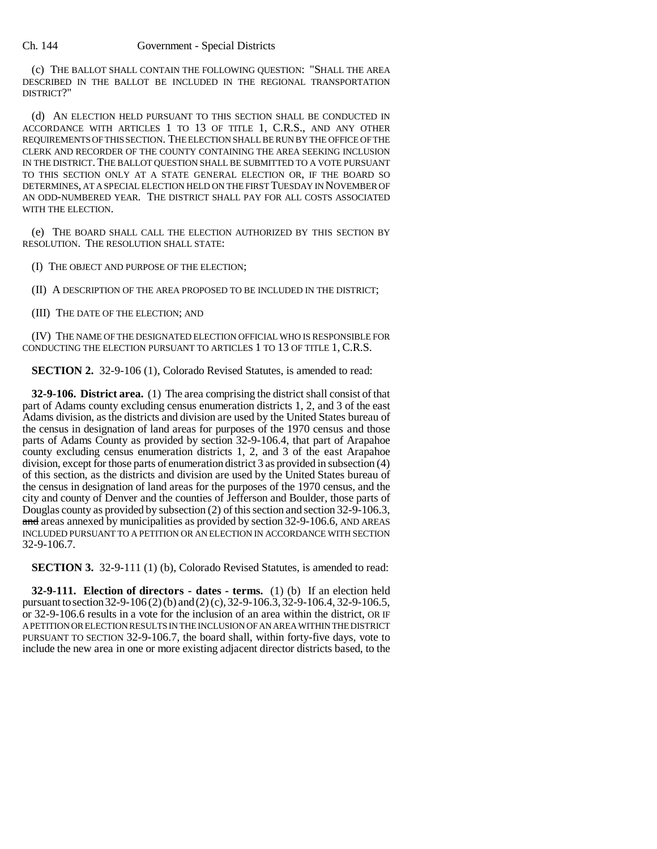(c) THE BALLOT SHALL CONTAIN THE FOLLOWING QUESTION: "SHALL THE AREA DESCRIBED IN THE BALLOT BE INCLUDED IN THE REGIONAL TRANSPORTATION DISTRICT?"

(d) AN ELECTION HELD PURSUANT TO THIS SECTION SHALL BE CONDUCTED IN ACCORDANCE WITH ARTICLES 1 TO 13 OF TITLE 1, C.R.S., AND ANY OTHER REQUIREMENTS OF THIS SECTION. THE ELECTION SHALL BE RUN BY THE OFFICE OF THE CLERK AND RECORDER OF THE COUNTY CONTAINING THE AREA SEEKING INCLUSION IN THE DISTRICT. THE BALLOT QUESTION SHALL BE SUBMITTED TO A VOTE PURSUANT TO THIS SECTION ONLY AT A STATE GENERAL ELECTION OR, IF THE BOARD SO DETERMINES, AT A SPECIAL ELECTION HELD ON THE FIRST TUESDAY IN NOVEMBER OF AN ODD-NUMBERED YEAR. THE DISTRICT SHALL PAY FOR ALL COSTS ASSOCIATED WITH THE ELECTION.

(e) THE BOARD SHALL CALL THE ELECTION AUTHORIZED BY THIS SECTION BY RESOLUTION. THE RESOLUTION SHALL STATE:

(I) THE OBJECT AND PURPOSE OF THE ELECTION;

(II) A DESCRIPTION OF THE AREA PROPOSED TO BE INCLUDED IN THE DISTRICT;

(III) THE DATE OF THE ELECTION; AND

(IV) THE NAME OF THE DESIGNATED ELECTION OFFICIAL WHO IS RESPONSIBLE FOR CONDUCTING THE ELECTION PURSUANT TO ARTICLES 1 TO 13 OF TITLE 1, C.R.S.

**SECTION 2.** 32-9-106 (1), Colorado Revised Statutes, is amended to read:

**32-9-106. District area.** (1) The area comprising the district shall consist of that part of Adams county excluding census enumeration districts 1, 2, and 3 of the east Adams division, as the districts and division are used by the United States bureau of the census in designation of land areas for purposes of the 1970 census and those parts of Adams County as provided by section 32-9-106.4, that part of Arapahoe county excluding census enumeration districts 1, 2, and 3 of the east Arapahoe division, except for those parts of enumeration district 3 as provided in subsection (4) of this section, as the districts and division are used by the United States bureau of the census in designation of land areas for the purposes of the 1970 census, and the city and county of Denver and the counties of Jefferson and Boulder, those parts of Douglas county as provided by subsection (2) of this section and section 32-9-106.3, and areas annexed by municipalities as provided by section 32-9-106.6, AND AREAS INCLUDED PURSUANT TO A PETITION OR AN ELECTION IN ACCORDANCE WITH SECTION 32-9-106.7.

**SECTION 3.** 32-9-111 (1) (b), Colorado Revised Statutes, is amended to read:

**32-9-111. Election of directors - dates - terms.** (1) (b) If an election held pursuant to section 32-9-106 (2) (b) and (2) (c), 32-9-106.3, 32-9-106.4, 32-9-106.5, or 32-9-106.6 results in a vote for the inclusion of an area within the district, OR IF A PETITION OR ELECTION RESULTS IN THE INCLUSION OF AN AREA WITHIN THE DISTRICT PURSUANT TO SECTION 32-9-106.7, the board shall, within forty-five days, vote to include the new area in one or more existing adjacent director districts based, to the